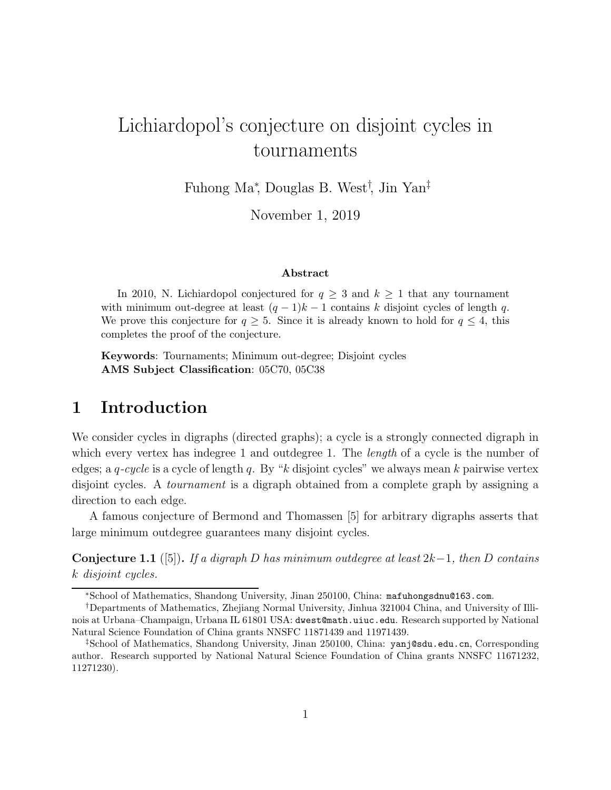# Lichiardopol's conjecture on disjoint cycles in tournaments

Fuhong Ma<sup>∗</sup> , Douglas B. West† , Jin Yan‡

November 1, 2019

#### Abstract

In 2010, N. Lichiardopol conjectured for  $q \geq 3$  and  $k \geq 1$  that any tournament with minimum out-degree at least  $(q-1)k-1$  contains k disjoint cycles of length q. We prove this conjecture for  $q \geq 5$ . Since it is already known to hold for  $q \leq 4$ , this completes the proof of the conjecture.

Keywords: Tournaments; Minimum out-degree; Disjoint cycles AMS Subject Classification: 05C70, 05C38

## 1 Introduction

We consider cycles in digraphs (directed graphs); a cycle is a strongly connected digraph in which every vertex has indegree 1 and outdegree 1. The *length* of a cycle is the number of edges; a q*-cycle* is a cycle of length q. By "k disjoint cycles" we always mean k pairwise vertex disjoint cycles. A *tournament* is a digraph obtained from a complete graph by assigning a direction to each edge.

A famous conjecture of Bermond and Thomassen [5] for arbitrary digraphs asserts that large minimum outdegree guarantees many disjoint cycles.

Conjecture 1.1 ([5]). *If a digraph* D *has minimum outdegree at least* 2k−1*, then* D *contains* k *disjoint cycles.*

<sup>∗</sup>School of Mathematics, Shandong University, Jinan 250100, China: mafuhongsdnu@163.com.

<sup>†</sup>Departments of Mathematics, Zhejiang Normal University, Jinhua 321004 China, and University of Illinois at Urbana–Champaign, Urbana IL 61801 USA: dwest@math.uiuc.edu. Research supported by National Natural Science Foundation of China grants NNSFC 11871439 and 11971439.

<sup>‡</sup>School of Mathematics, Shandong University, Jinan 250100, China: yanj@sdu.edu.cn, Corresponding author. Research supported by National Natural Science Foundation of China grants NNSFC 11671232, 11271230).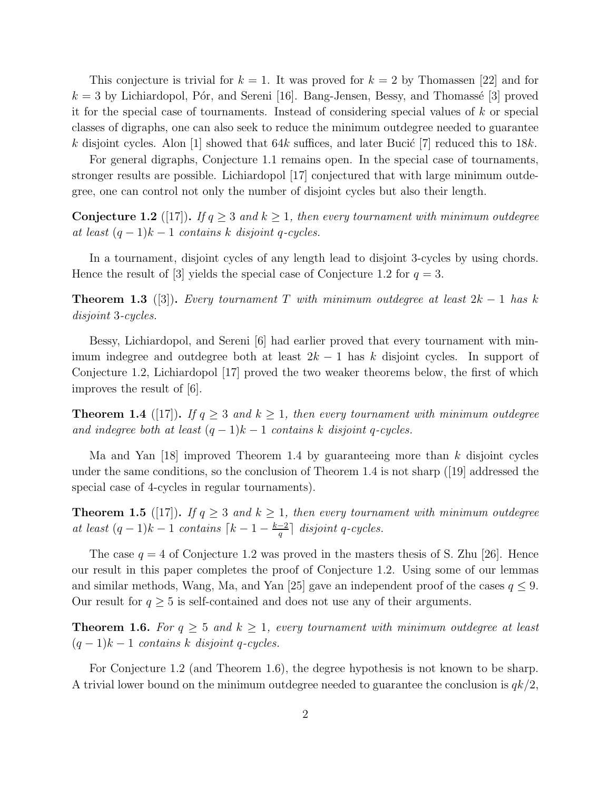This conjecture is trivial for  $k = 1$ . It was proved for  $k = 2$  by Thomassen [22] and for  $k = 3$  by Lichiardopol, Pór, and Sereni [16]. Bang-Jensen, Bessy, and Thomassé [3] proved it for the special case of tournaments. Instead of considering special values of k or special classes of digraphs, one can also seek to reduce the minimum outdegree needed to guarantee k disjoint cycles. Alon [1] showed that 64k suffices, and later Bucic [7] reduced this to 18k.

For general digraphs, Conjecture 1.1 remains open. In the special case of tournaments, stronger results are possible. Lichiardopol [17] conjectured that with large minimum outdegree, one can control not only the number of disjoint cycles but also their length.

**Conjecture 1.2** ([17]). *If*  $q \geq 3$  *and*  $k \geq 1$ *, then every tournament with minimum outdegree at least*  $(q-1)k-1$  *contains* k *disjoint* q-cycles.

In a tournament, disjoint cycles of any length lead to disjoint 3-cycles by using chords. Hence the result of [3] yields the special case of Conjecture 1.2 for  $q = 3$ .

**Theorem 1.3** ([3]). *Every tournament* T *with minimum outdegree at least*  $2k - 1$  *has* k *disjoint* 3*-cycles.*

Bessy, Lichiardopol, and Sereni [6] had earlier proved that every tournament with minimum indegree and outdegree both at least  $2k - 1$  has k disjoint cycles. In support of Conjecture 1.2, Lichiardopol [17] proved the two weaker theorems below, the first of which improves the result of [6].

**Theorem 1.4** ([17]). *If*  $q \geq 3$  *and*  $k \geq 1$ *, then every tournament with minimum outdegree and indegree both at least*  $(q-1)k-1$  *contains* k *disjoint* q-cycles.

Ma and Yan [18] improved Theorem 1.4 by guaranteeing more than k disjoint cycles under the same conditions, so the conclusion of Theorem 1.4 is not sharp ([19] addressed the special case of 4-cycles in regular tournaments).

**Theorem 1.5** ([17]). *If*  $q \geq 3$  *and*  $k \geq 1$ *, then every tournament with minimum outdegree at least*  $(q-1)k-1$  *contains*  $\lceil k-1-\frac{k-2}{q}\rceil$  $\frac{q-2}{q}$  disjoint *q*-cycles.

The case  $q = 4$  of Conjecture 1.2 was proved in the masters thesis of S. Zhu [26]. Hence our result in this paper completes the proof of Conjecture 1.2. Using some of our lemmas and similar methods, Wang, Ma, and Yan [25] gave an independent proof of the cases  $q \leq 9$ . Our result for  $q \geq 5$  is self-contained and does not use any of their arguments.

**Theorem 1.6.** For  $q \geq 5$  and  $k \geq 1$ , every tournament with minimum outdegree at least (q − 1)k − 1 *contains* k *disjoint* q*-cycles.*

For Conjecture 1.2 (and Theorem 1.6), the degree hypothesis is not known to be sharp. A trivial lower bound on the minimum outdegree needed to guarantee the conclusion is  $qk/2$ ,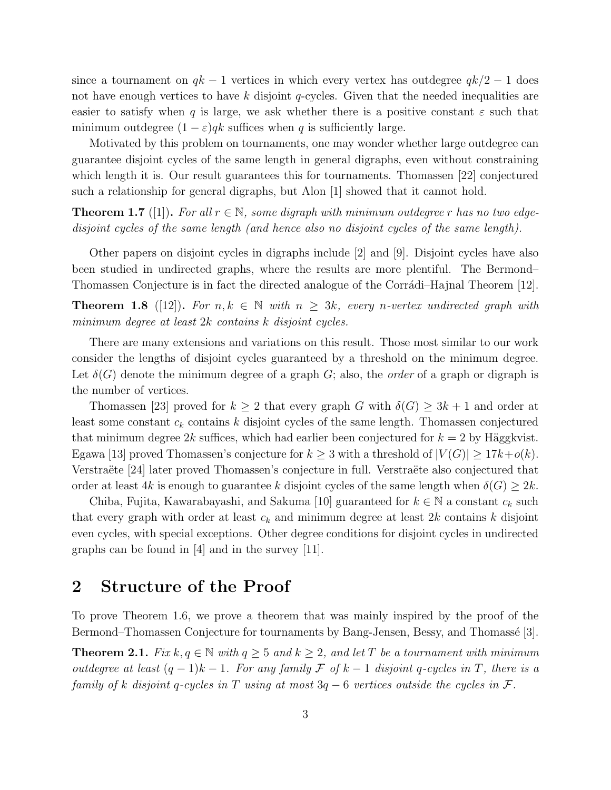since a tournament on  $qk-1$  vertices in which every vertex has outdegree  $qk/2-1$  does not have enough vertices to have k disjoint  $q$ -cycles. Given that the needed inequalities are easier to satisfy when q is large, we ask whether there is a positive constant  $\varepsilon$  such that minimum outdegree  $(1 - \varepsilon)qk$  suffices when q is sufficiently large.

Motivated by this problem on tournaments, one may wonder whether large outdegree can guarantee disjoint cycles of the same length in general digraphs, even without constraining which length it is. Our result guarantees this for tournaments. Thomassen [22] conjectured such a relationship for general digraphs, but Alon [1] showed that it cannot hold.

**Theorem 1.7** ([1]). For all  $r \in \mathbb{N}$ , some digraph with minimum outdegree r has no two edge*disjoint cycles of the same length (and hence also no disjoint cycles of the same length).*

Other papers on disjoint cycles in digraphs include [2] and [9]. Disjoint cycles have also been studied in undirected graphs, where the results are more plentiful. The Bermond– Thomassen Conjecture is in fact the directed analogue of the Corrádi–Hajnal Theorem [12].

**Theorem 1.8** ([12]). For  $n, k \in \mathbb{N}$  with  $n \geq 3k$ , every *n*-vertex undirected graph with *minimum degree at least* 2k *contains* k *disjoint cycles.*

There are many extensions and variations on this result. Those most similar to our work consider the lengths of disjoint cycles guaranteed by a threshold on the minimum degree. Let  $\delta(G)$  denote the minimum degree of a graph G; also, the *order* of a graph or digraph is the number of vertices.

Thomassen [23] proved for  $k \geq 2$  that every graph G with  $\delta(G) \geq 3k + 1$  and order at least some constant  $c_k$  contains k disjoint cycles of the same length. Thomassen conjectured that minimum degree 2k suffices, which had earlier been conjectured for  $k = 2$  by Häggkvist. Egawa [13] proved Thomassen's conjecture for  $k \geq 3$  with a threshold of  $|V(G)| \geq 17k+o(k)$ . Verstraëte [24] later proved Thomassen's conjecture in full. Verstraëte also conjectured that order at least 4k is enough to guarantee k disjoint cycles of the same length when  $\delta(G) \geq 2k$ .

Chiba, Fujita, Kawarabayashi, and Sakuma [10] guaranteed for  $k \in \mathbb{N}$  a constant  $c_k$  such that every graph with order at least  $c_k$  and minimum degree at least  $2k$  contains k disjoint even cycles, with special exceptions. Other degree conditions for disjoint cycles in undirected graphs can be found in [4] and in the survey [11].

# 2 Structure of the Proof

To prove Theorem 1.6, we prove a theorem that was mainly inspired by the proof of the Bermond–Thomassen Conjecture for tournaments by Bang-Jensen, Bessy, and Thomassé [3].

**Theorem 2.1.** *Fix*  $k, q \in \mathbb{N}$  *with*  $q \ge 5$  *and*  $k \ge 2$ *, and let* T *be a tournament with minimum outdegree at least*  $(q - 1)k - 1$ *. For any family*  $\mathcal F$  *of*  $k - 1$  *disjoint* q-cycles in  $T$ *, there is a family of* k *disjoint* q*-cycles in* T *using at most* 3q − 6 *vertices outside the cycles in* F*.*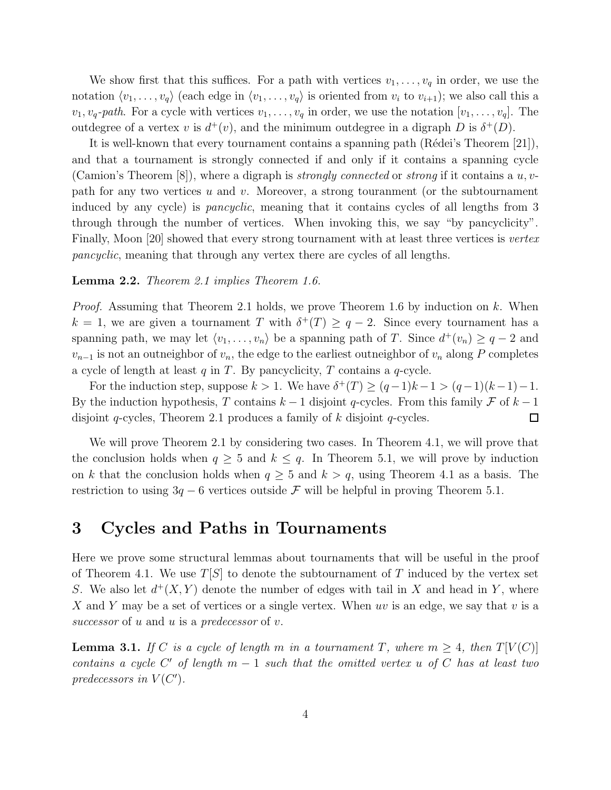We show first that this suffices. For a path with vertices  $v_1, \ldots, v_q$  in order, we use the notation  $\langle v_1, \ldots, v_q \rangle$  (each edge in  $\langle v_1, \ldots, v_q \rangle$  is oriented from  $v_i$  to  $v_{i+1}$ ); we also call this a  $v_1, v_q$ -path. For a cycle with vertices  $v_1, \ldots, v_q$  in order, we use the notation  $[v_1, \ldots, v_q]$ . The outdegree of a vertex v is  $d^+(v)$ , and the minimum outdegree in a digraph D is  $\delta^+(D)$ .

It is well-known that every tournament contains a spanning path (Rédei's Theorem  $|21|$ ), and that a tournament is strongly connected if and only if it contains a spanning cycle (Camion's Theorem [8]), where a digraph is *strongly connected* or *strong* if it contains a u, vpath for any two vertices  $u$  and  $v$ . Moreover, a strong touranment (or the subtournament induced by any cycle) is *pancyclic*, meaning that it contains cycles of all lengths from 3 through through the number of vertices. When invoking this, we say "by pancyclicity". Finally, Moon [20] showed that every strong tournament with at least three vertices is *vertex pancyclic*, meaning that through any vertex there are cycles of all lengths.

#### Lemma 2.2. *Theorem 2.1 implies Theorem 1.6.*

*Proof.* Assuming that Theorem 2.1 holds, we prove Theorem 1.6 by induction on k. When  $k = 1$ , we are given a tournament T with  $\delta^+(T) \geq q-2$ . Since every tournament has a spanning path, we may let  $\langle v_1, \ldots, v_n \rangle$  be a spanning path of T. Since  $d^+(v_n) \geq q-2$  and  $v_{n-1}$  is not an outneighbor of  $v_n$ , the edge to the earliest outneighbor of  $v_n$  along P completes a cycle of length at least  $q$  in  $T$ . By pancyclicity,  $T$  contains a  $q$ -cycle.

For the induction step, suppose  $k > 1$ . We have  $\delta^+(T) \ge (q-1)k-1 > (q-1)(k-1)-1$ . By the induction hypothesis, T contains  $k-1$  disjoint q-cycles. From this family F of  $k-1$ disjoint q-cycles, Theorem 2.1 produces a family of  $k$  disjoint q-cycles.  $\Box$ 

We will prove Theorem 2.1 by considering two cases. In Theorem 4.1, we will prove that the conclusion holds when  $q \geq 5$  and  $k \leq q$ . In Theorem 5.1, we will prove by induction on k that the conclusion holds when  $q \geq 5$  and  $k > q$ , using Theorem 4.1 as a basis. The restriction to using  $3q - 6$  vertices outside F will be helpful in proving Theorem 5.1.

### 3 Cycles and Paths in Tournaments

Here we prove some structural lemmas about tournaments that will be useful in the proof of Theorem 4.1. We use  $T[S]$  to denote the subtournament of T induced by the vertex set S. We also let  $d^+(X, Y)$  denote the number of edges with tail in X and head in Y, where X and Y may be a set of vertices or a single vertex. When uv is an edge, we say that v is a *successor* of u and u is a *predecessor* of v.

**Lemma 3.1.** *If* C *is a cycle of length* m *in a tournament* T, where  $m \geq 4$ , then  $T[V(C)]$ *contains a cycle* C ′ *of length* m − 1 *such that the omitted vertex* u *of* C *has at least two* predecessors in  $V(C')$ .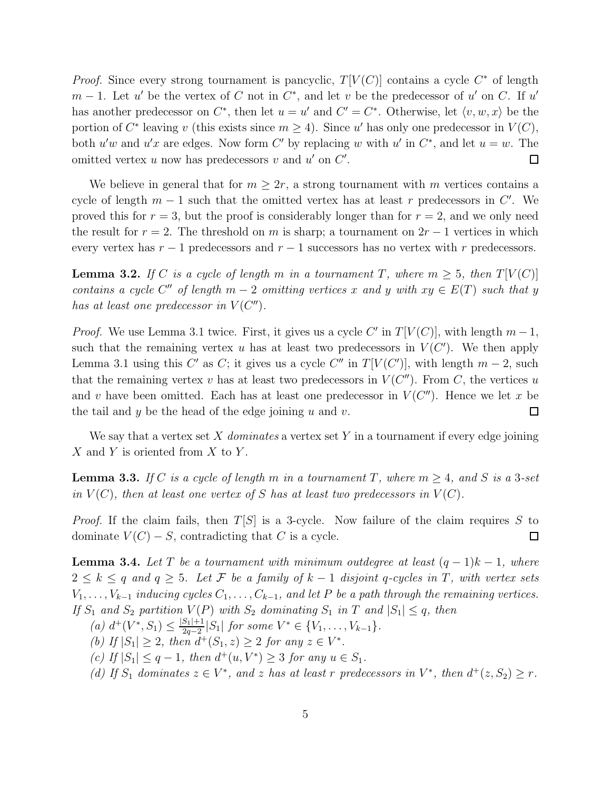*Proof.* Since every strong tournament is pancyclic,  $T[V(C)]$  contains a cycle  $C^*$  of length  $m-1$ . Let u' be the vertex of C not in  $C^*$ , and let v be the predecessor of u' on C. If u' has another predecessor on  $C^*$ , then let  $u = u'$  and  $C' = C^*$ . Otherwise, let  $\langle v, w, x \rangle$  be the portion of  $C^*$  leaving v (this exists since  $m \geq 4$ ). Since u' has only one predecessor in  $V(C)$ , both  $u'w$  and  $u'x$  are edges. Now form C' by replacing w with u' in  $C^*$ , and let  $u = w$ . The omitted vertex  $u$  now has predecessors  $v$  and  $u'$  on  $C'$ .  $\Box$ 

We believe in general that for  $m \geq 2r$ , a strong tournament with m vertices contains a cycle of length  $m-1$  such that the omitted vertex has at least r predecessors in C'. We proved this for  $r = 3$ , but the proof is considerably longer than for  $r = 2$ , and we only need the result for  $r = 2$ . The threshold on m is sharp; a tournament on  $2r - 1$  vertices in which every vertex has  $r - 1$  predecessors and  $r - 1$  successors has no vertex with r predecessors.

**Lemma 3.2.** *If* C *is a cycle of length* m *in a tournament* T, where  $m \geq 5$ , then  $T[V(C)]$ *contains a cycle*  $C''$  *of length*  $m-2$  *omitting vertices* x and y with  $xy \in E(T)$  *such that* y *has at least one predecessor in*  $V(C'')$ *.* 

*Proof.* We use Lemma 3.1 twice. First, it gives us a cycle C' in  $T[V(C)]$ , with length  $m-1$ , such that the remaining vertex u has at least two predecessors in  $V(C')$ . We then apply Lemma 3.1 using this C' as C; it gives us a cycle C'' in  $T[V(C')]$ , with length  $m-2$ , such that the remaining vertex v has at least two predecessors in  $V(C'')$ . From C, the vertices u and v have been omitted. Each has at least one predecessor in  $V(C'')$ . Hence we let x be the tail and y be the head of the edge joining  $u$  and  $v$ .  $\Box$ 

We say that a vertex set X *dominates* a vertex set Y in a tournament if every edge joining X and Y is oriented from X to Y.

**Lemma 3.3.** *If* C *is a cycle of length* m *in a tournament* T, where  $m \geq 4$ , and S *is a* 3-set *in*  $V(C)$ *, then at least one vertex of* S *has at least two predecessors in*  $V(C)$ *.* 

*Proof.* If the claim fails, then  $T[S]$  is a 3-cycle. Now failure of the claim requires S to dominate  $V(C) - S$ , contradicting that C is a cycle.  $\Box$ 

**Lemma 3.4.** Let T be a tournament with minimum outdegree at least  $(q-1)k-1$ , where 2 ≤ k ≤ q *and* q ≥ 5*. Let* F *be a family of* k − 1 *disjoint* q*-cycles in* T*, with vertex sets*  $V_1, \ldots, V_{k-1}$  *inducing cycles*  $C_1, \ldots, C_{k-1}$ *, and let* P *be a path through the remaining vertices. If*  $S_1$  *and*  $S_2$  *partition*  $V(P)$  *with*  $S_2$  *dominating*  $S_1$  *in*  $T$  *and*  $|S_1| \leq q$ *, then* 

(a) 
$$
d^+(V^*, S_1) \leq \frac{|S_1|+1}{2q-2}|S_1|
$$
 for some  $V^* \in \{V_1, \ldots, V_{k-1}\}.$ 

*(b)* If  $|S_1| \geq 2$ , then  $d^+(S_1, z) \geq 2$  for any  $z \in V^*$ .

 $(c)$  *If*  $|S_1|$  ≤  $q-1$ *, then*  $d^+(u, V^*)$  ≥ 3 *for any*  $u \in S_1$ *.* 

(d) If  $S_1$  dominates  $z \in V^*$ , and z has at least r predecessors in  $V^*$ , then  $d^+(z, S_2) \geq r$ .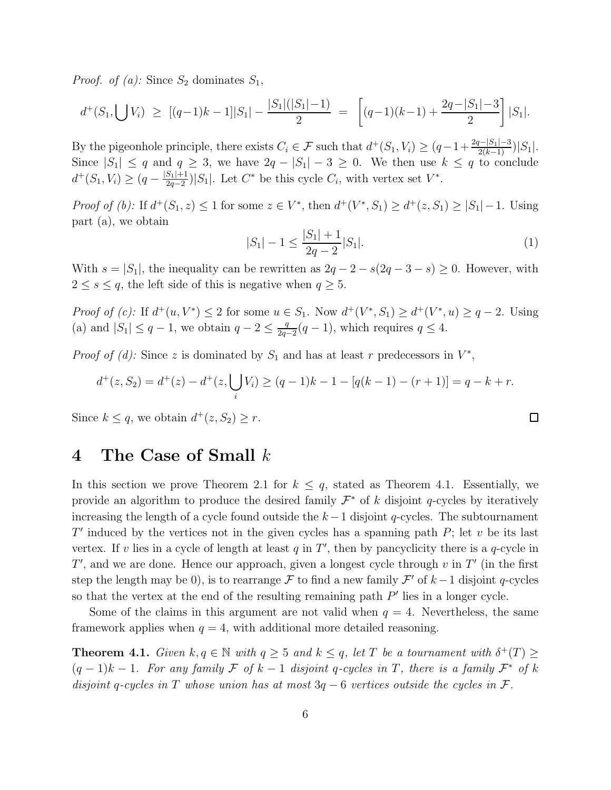*Proof. of (a):* Since  $S_2$  dominates  $S_1$ ,

$$
d^+(S_1, \bigcup V_i) \geq [(q-1)k-1]|S_1| - \frac{|S_1|(|S_1|-1)}{2} = \left[ (q-1)(k-1) + \frac{2q-|S_1|-3}{2} \right]|S_1|.
$$

By the pigeonhole principle, there exists  $C_i \in \mathcal{F}$  such that  $d^+(S_1, V_i) \geq (q-1+\frac{2q-|S_1|-3}{2(k-1)})|S_1|$ . Since  $|S_1| \leq q$  and  $q \geq 3$ , we have  $2q - |S_1| - 3 \geq 0$ . We then use  $k \leq q$  to conclude  $d^+(S_1, V_i) \geq (q - \frac{|S_1|+1}{2q-2})$  $\frac{S_1+1}{2q-2}$ | $S_1$ . Let  $C^*$  be this cycle  $C_i$ , with vertex set  $V^*$ .

*Proof of (b)*: If  $d^+(S_1, z) \leq 1$  for some  $z \in V^*$ , then  $d^+(V^*, S_1) \geq d^+(z, S_1) \geq |S_1| - 1$ . Using part (a), we obtain

$$
|S_1| - 1 \le \frac{|S_1| + 1}{2q - 2}|S_1|.
$$
\n<sup>(1)</sup>

 $\Box$ 

With  $s = |S_1|$ , the inequality can be rewritten as  $2q - 2 - s(2q - 3 - s) \geq 0$ . However, with  $2 \leq s \leq q$ , the left side of this is negative when  $q \geq 5$ .

*Proof of (c)*: If  $d^+(u, V^*) \leq 2$  for some  $u \in S_1$ . Now  $d^+(V^*, S_1) \geq d^+(V^*, u) \geq q - 2$ . Using (a) and  $|S_1| \leq q-1$ , we obtain  $q-2 \leq \frac{q}{2q-1}$  $\frac{q}{2q-2}(q-1)$ , which requires  $q \leq 4$ .

*Proof of (d):* Since z is dominated by  $S_1$  and has at least r predecessors in  $V^*$ ,

$$
d^+(z, S_2) = d^+(z) - d^+(z, \bigcup_i V_i) \ge (q-1)k - 1 - [q(k-1) - (r+1)] = q - k + r.
$$

Since  $k \leq q$ , we obtain  $d^+(z, S_2) \geq r$ .

### 4 The Case of Small k

In this section we prove Theorem 2.1 for  $k \leq q$ , stated as Theorem 4.1. Essentially, we provide an algorithm to produce the desired family  $\mathcal{F}^*$  of k disjoint q-cycles by iteratively increasing the length of a cycle found outside the  $k-1$  disjoint q-cycles. The subtournament  $T'$  induced by the vertices not in the given cycles has a spanning path  $P$ ; let  $v$  be its last vertex. If v lies in a cycle of length at least  $q$  in  $T'$ , then by pancyclicity there is a  $q$ -cycle in  $T'$ , and we are done. Hence our approach, given a longest cycle through  $v$  in  $T'$  (in the first step the length may be 0), is to rearrange  $\mathcal F$  to find a new family  $\mathcal F'$  of  $k-1$  disjoint q-cycles so that the vertex at the end of the resulting remaining path  $P'$  lies in a longer cycle.

Some of the claims in this argument are not valid when  $q = 4$ . Nevertheless, the same framework applies when  $q = 4$ , with additional more detailed reasoning.

**Theorem 4.1.** *Given*  $k, q \in \mathbb{N}$  *with*  $q \geq 5$  *and*  $k \leq q$ *, let* T *be a tournament with*  $\delta^+(T) \geq$  $(q-1)k-1$ . For any family F of  $k-1$  disjoint q-cycles in T, there is a family  $\mathcal{F}^*$  of k *disjoint* q*-cycles in* T *whose union has at most* 3q − 6 *vertices outside the cycles in* F*.*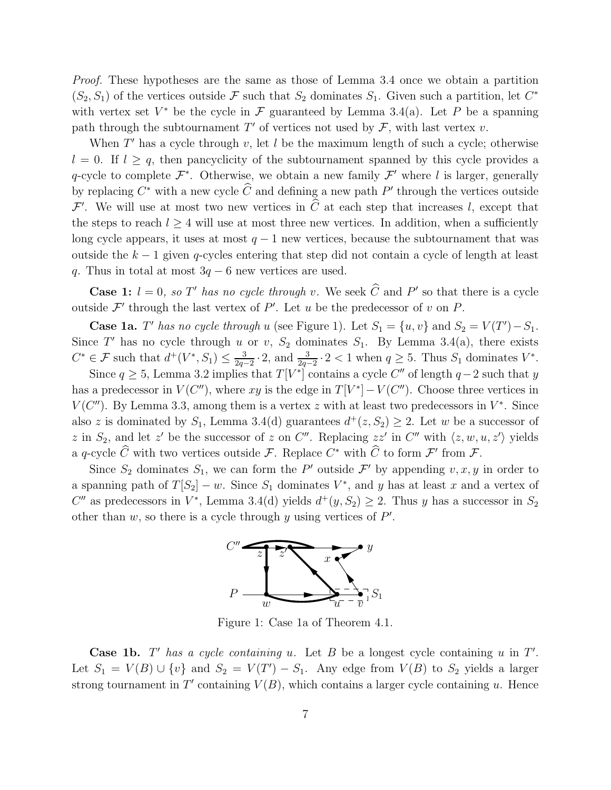*Proof.* These hypotheses are the same as those of Lemma 3.4 once we obtain a partition  $(S_2, S_1)$  of the vertices outside F such that  $S_2$  dominates  $S_1$ . Given such a partition, let  $C^*$ with vertex set  $V^*$  be the cycle in  $\mathcal F$  guaranteed by Lemma 3.4(a). Let P be a spanning path through the subtournament  $T'$  of vertices not used by  $\mathcal{F}$ , with last vertex v.

When  $T'$  has a cycle through  $v$ , let  $l$  be the maximum length of such a cycle; otherwise  $l = 0$ . If  $l \ge q$ , then pancyclicity of the subtournament spanned by this cycle provides a q-cycle to complete  $\mathcal{F}^*$ . Otherwise, we obtain a new family  $\mathcal{F}'$  where l is larger, generally by replacing  $C^*$  with a new cycle  $\widehat{C}$  and defining a new path  $P'$  through the vertices outside  $\mathcal{F}'$ . We will use at most two new vertices in  $\hat{C}$  at each step that increases l, except that the steps to reach  $l \geq 4$  will use at most three new vertices. In addition, when a sufficiently long cycle appears, it uses at most  $q-1$  new vertices, because the subtournament that was outside the  $k-1$  given q-cycles entering that step did not contain a cycle of length at least q. Thus in total at most  $3q - 6$  new vertices are used.

**Case 1:**  $l = 0$ , so T' has no cycle through v. We seek  $\hat{C}$  and P' so that there is a cycle outside  $\mathcal{F}'$  through the last vertex of  $P'$ . Let u be the predecessor of v on P.

**Case 1a.** *T'* has no cycle through u (see Figure 1). Let  $S_1 = \{u, v\}$  and  $S_2 = V(T') - S_1$ . Since T' has no cycle through u or v,  $S_2$  dominates  $S_1$ . By Lemma 3.4(a), there exists  $C^* \in \mathcal{F}$  such that  $d^+(V^*, S_1) \leq \frac{3}{2a}$  $\frac{3}{2q-2} \cdot 2$ , and  $\frac{3}{2q-2} \cdot 2 < 1$  when  $q \ge 5$ . Thus  $S_1$  dominates  $V^*$ .

Since  $q \ge 5$ , Lemma 3.2 implies that  $T[V^*]$  contains a cycle  $C''$  of length  $q-2$  such that y has a predecessor in  $V(C'')$ , where xy is the edge in  $T[V^*] - V(C'')$ . Choose three vertices in  $V(C'')$ . By Lemma 3.3, among them is a vertex z with at least two predecessors in  $V^*$ . Since also z is dominated by  $S_1$ , Lemma 3.4(d) guarantees  $d^+(z, S_2) \geq 2$ . Let w be a successor of z in  $S_2$ , and let z' be the successor of z on C''. Replacing zz' in C'' with  $\langle z, w, u, z' \rangle$  yields a q-cycle  $\hat{C}$  with two vertices outside  $\mathcal{F}$ . Replace  $C^*$  with  $\hat{C}$  to form  $\mathcal{F}'$  from  $\mathcal{F}$ .

Since  $S_2$  dominates  $S_1$ , we can form the P' outside F' by appending  $v, x, y$  in order to a spanning path of  $T[S_2] - w$ . Since  $S_1$  dominates  $V^*$ , and y has at least x and a vertex of C'' as predecessors in  $V^*$ , Lemma 3.4(d) yields  $d^+(y, S_2) \geq 2$ . Thus y has a successor in  $S_2$ other than  $w$ , so there is a cycle through  $y$  using vertices of  $P'$ .



Figure 1: Case 1a of Theorem 4.1.

**Case 1b.**  $T'$  has a cycle containing  $u$ . Let  $B$  be a longest cycle containing  $u$  in  $T'$ . Let  $S_1 = V(B) \cup \{v\}$  and  $S_2 = V(T') - S_1$ . Any edge from  $V(B)$  to  $S_2$  yields a larger strong tournament in T' containing  $V(B)$ , which contains a larger cycle containing u. Hence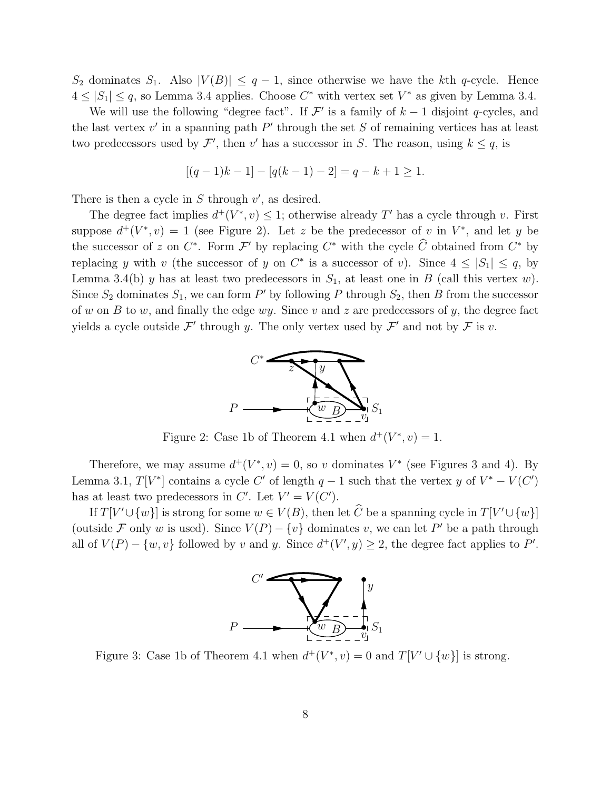$S_2$  dominates  $S_1$ . Also  $|V(B)| \leq q-1$ , since otherwise we have the kth q-cycle. Hence  $4 \leq |S_1| \leq q$ , so Lemma 3.4 applies. Choose  $C^*$  with vertex set  $V^*$  as given by Lemma 3.4.

We will use the following "degree fact". If  $\mathcal{F}'$  is a family of  $k-1$  disjoint q-cycles, and the last vertex  $v'$  in a spanning path  $P'$  through the set S of remaining vertices has at least two predecessors used by  $\mathcal{F}'$ , then v' has a successor in S. The reason, using  $k \leq q$ , is

$$
[(q-1)k-1] - [q(k-1) - 2] = q - k + 1 \ge 1.
$$

There is then a cycle in  $S$  through  $v'$ , as desired.

The degree fact implies  $d^+(V^*, v) \leq 1$ ; otherwise already T' has a cycle through v. First suppose  $d^+(V^*, v) = 1$  (see Figure 2). Let z be the predecessor of v in  $V^*$ , and let y be the successor of z on  $C^*$ . Form  $\mathcal{F}'$  by replacing  $C^*$  with the cycle  $\hat{C}$  obtained from  $C^*$  by replacing y with v (the successor of y on  $C^*$  is a successor of v). Since  $4 \leq |S_1| \leq q$ , by Lemma 3.4(b) y has at least two predecessors in  $S_1$ , at least one in B (call this vertex w). Since  $S_2$  dominates  $S_1$ , we can form P' by following P through  $S_2$ , then B from the successor of w on B to w, and finally the edge wy. Since v and z are predecessors of y, the degree fact yields a cycle outside  $\mathcal{F}'$  through y. The only vertex used by  $\mathcal{F}'$  and not by  $\mathcal{F}$  is v.



Figure 2: Case 1b of Theorem 4.1 when  $d^+(V^*, v) = 1$ .

Therefore, we may assume  $d^+(V^*, v) = 0$ , so v dominates  $V^*$  (see Figures 3 and 4). By Lemma 3.1,  $T[V^*]$  contains a cycle C' of length  $q-1$  such that the vertex y of  $V^* - V(C')$ has at least two predecessors in C'. Let  $V' = V(C')$ .

If  $T[V' \cup \{w\}]$  is strong for some  $w \in V(B)$ , then let  $\tilde{C}$  be a spanning cycle in  $T[V' \cup \{w\}]$ (outside F only w is used). Since  $V(P) - \{v\}$  dominates v, we can let P' be a path through all of  $V(P) - \{w, v\}$  followed by v and y. Since  $d^+(V', y) \geq 2$ , the degree fact applies to P'.



Figure 3: Case 1b of Theorem 4.1 when  $d^+(V^*, v) = 0$  and  $T[V' \cup \{w\}]$  is strong.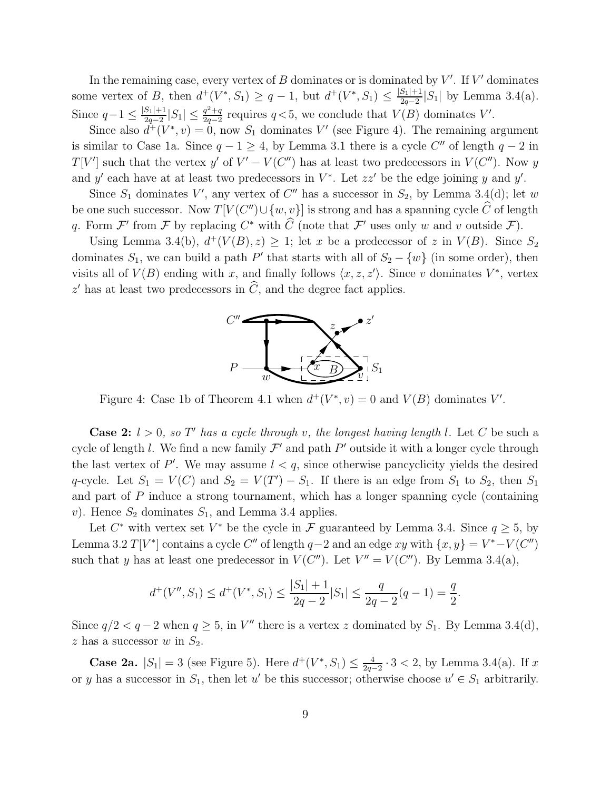In the remaining case, every vertex of  $B$  dominates or is dominated by  $V'$ . If  $V'$  dominates some vertex of B, then  $d^+(V^*, S_1) \geq q-1$ , but  $d^+(V^*, S_1) \leq \frac{|S_1|+1}{2q-2}$  $\frac{S_1|+1}{2q-2}|S_1|$  by Lemma 3.4(a). Since  $q-1 \leq \frac{|S_1|+1}{2a-2}$  $\frac{S_1|+1}{2q-2}|S_1| \leq \frac{q^2+q}{2q-2}$  $\frac{q^2+q}{2q-2}$  requires  $q<5$ , we conclude that  $V(B)$  dominates  $V'$ .

Since also  $d^+(V^*, v) = 0$ , now  $S_1$  dominates V' (see Figure 4). The remaining argument is similar to Case 1a. Since  $q - 1 \ge 4$ , by Lemma 3.1 there is a cycle C'' of length  $q - 2$  in  $T[V']$  such that the vertex y' of  $V' - V(C'')$  has at least two predecessors in  $V(C'')$ . Now y and y' each have at at least two predecessors in  $V^*$ . Let  $zz'$  be the edge joining y and y'.

Since  $S_1$  dominates V', any vertex of C'' has a successor in  $S_2$ , by Lemma 3.4(d); let w be one such successor. Now  $T[V(C'') \cup \{w, v\}]$  is strong and has a spanning cycle  $\hat{C}$  of length q. Form  $\mathcal{F}'$  from  $\mathcal F$  by replacing  $C^*$  with  $\hat C$  (note that  $\mathcal{F}'$  uses only w and v outside  $\mathcal{F}$ ).

Using Lemma 3.4(b),  $d^+(V(B), z) \geq 1$ ; let x be a predecessor of z in  $V(B)$ . Since  $S_2$ dominates  $S_1$ , we can build a path P' that starts with all of  $S_2 - \{w\}$  (in some order), then visits all of  $V(B)$  ending with x, and finally follows  $\langle x, z, z' \rangle$ . Since v dominates  $V^*$ , vertex  $z'$  has at least two predecessors in  $\tilde{C}$ , and the degree fact applies.



Figure 4: Case 1b of Theorem 4.1 when  $d^+(V^*, v) = 0$  and  $V(B)$  dominates V'.

**Case 2:**  $l > 0$ *, so*  $T'$  *has a cycle through* v*, the longest having length* l. Let C be such a cycle of length l. We find a new family  $\mathcal{F}'$  and path  $P'$  outside it with a longer cycle through the last vertex of P'. We may assume  $l < q$ , since otherwise pancyclicity yields the desired q-cycle. Let  $S_1 = V(C)$  and  $S_2 = V(T') - S_1$ . If there is an edge from  $S_1$  to  $S_2$ , then  $S_1$ and part of P induce a strong tournament, which has a longer spanning cycle (containing v). Hence  $S_2$  dominates  $S_1$ , and Lemma 3.4 applies.

Let  $C^*$  with vertex set  $V^*$  be the cycle in  $\mathcal F$  guaranteed by Lemma 3.4. Since  $q \geq 5$ , by Lemma 3.2  $T[V^*]$  contains a cycle C'' of length  $q-2$  and an edge xy with  $\{x, y\} = V^* - V(C'')$ such that y has at least one predecessor in  $V(C'')$ . Let  $V'' = V(C'')$ . By Lemma 3.4(a),

$$
d^+(V'', S_1) \le d^+(V^*, S_1) \le \frac{|S_1| + 1}{2q - 2}|S_1| \le \frac{q}{2q - 2}(q - 1) = \frac{q}{2}.
$$

Since  $q/2 < q-2$  when  $q \geq 5$ , in V'' there is a vertex z dominated by  $S_1$ . By Lemma 3.4(d), z has a successor  $w$  in  $S_2$ .

**Case 2a.**  $|S_1| = 3$  (see Figure 5). Here  $d^+(V^*, S_1) \leq \frac{4}{2a}$  $\frac{4}{2q-2} \cdot 3 < 2$ , by Lemma 3.4(a). If x or y has a successor in  $S_1$ , then let u' be this successor; otherwise choose  $u' \in S_1$  arbitrarily.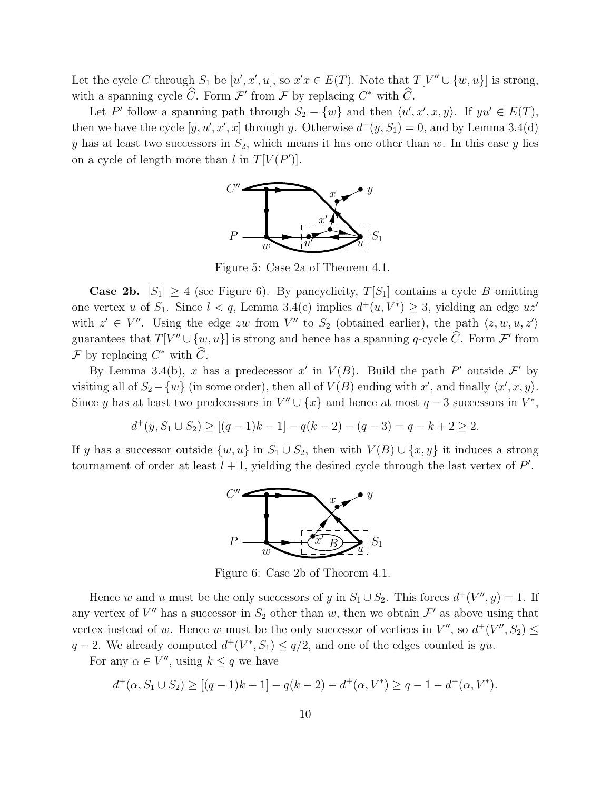Let the cycle C through  $S_1$  be  $[u', x', u]$ , so  $x'x \in E(T)$ . Note that  $T[V'' \cup \{w, u\}]$  is strong, with a spanning cycle  $\hat{C}$ . Form  $\mathcal{F}'$  from  $\mathcal{F}$  by replacing  $C^*$  with  $\hat{C}$ .

Let P' follow a spanning path through  $S_2 - \{w\}$  and then  $\langle u', x', x, y \rangle$ . If  $yu' \in E(T)$ , then we have the cycle  $[y, u', x', x]$  through y. Otherwise  $d^+(y, S_1) = 0$ , and by Lemma 3.4(d) y has at least two successors in  $S_2$ , which means it has one other than w. In this case y lies on a cycle of length more than  $l$  in  $T[V(P')]$ .



Figure 5: Case 2a of Theorem 4.1.

**Case 2b.**  $|S_1| \geq 4$  (see Figure 6). By pancyclicity,  $T[S_1]$  contains a cycle B omitting one vertex u of  $S_1$ . Since  $l < q$ , Lemma 3.4(c) implies  $d^+(u, V^*) \geq 3$ , yielding an edge  $uz'$ with  $z' \in V''$ . Using the edge zw from V'' to  $S_2$  (obtained earlier), the path  $\langle z, w, u, z' \rangle$ guarantees that  $T[V'' \cup \{w, u\}]$  is strong and hence has a spanning q-cycle  $\tilde{C}$ . Form  $\mathcal{F}'$  from F by replacing  $C^*$  with  $\hat{C}$ .

By Lemma 3.4(b), x has a predecessor x' in  $V(B)$ . Build the path P' outside  $\mathcal{F}'$  by visiting all of  $S_2 - \{w\}$  (in some order), then all of  $V(B)$  ending with x', and finally  $\langle x', x, y \rangle$ . Since y has at least two predecessors in  $V'' \cup \{x\}$  and hence at most  $q-3$  successors in  $V^*$ ,

$$
d^+(y, S_1 \cup S_2) \ge [(q-1)k-1] - q(k-2) - (q-3) = q - k + 2 \ge 2.
$$

If y has a successor outside  $\{w, u\}$  in  $S_1 \cup S_2$ , then with  $V(B) \cup \{x, y\}$  it induces a strong tournament of order at least  $l + 1$ , yielding the desired cycle through the last vertex of  $P'$ .



Figure 6: Case 2b of Theorem 4.1.

Hence w and u must be the only successors of y in  $S_1 \cup S_2$ . This forces  $d^+(V'', y) = 1$ . If any vertex of  $V''$  has a successor in  $S_2$  other than w, then we obtain  $\mathcal{F}'$  as above using that vertex instead of w. Hence w must be the only successor of vertices in  $V''$ , so  $d^+(V'', S_2) \le$  $q-2$ . We already computed  $d^+(V^*, S_1) \leq q/2$ , and one of the edges counted is yu.

For any  $\alpha \in V''$ , using  $k \leq q$  we have

$$
d^+(\alpha, S_1 \cup S_2) \ge [(q-1)k-1] - q(k-2) - d^+(\alpha, V^*) \ge q-1 - d^+(\alpha, V^*).
$$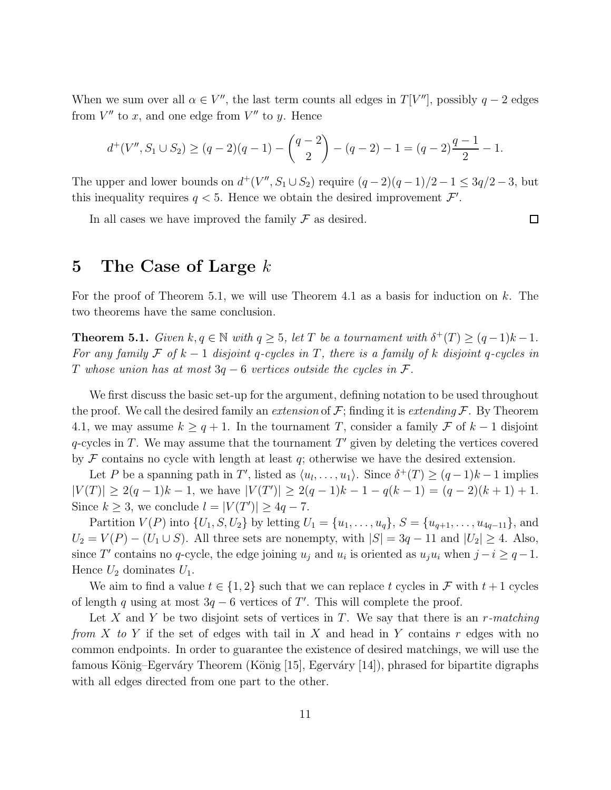When we sum over all  $\alpha \in V''$ , the last term counts all edges in  $T[V'']$ , possibly  $q-2$  edges from  $V''$  to x, and one edge from  $V''$  to y. Hence

$$
d^+(V'', S_1 \cup S_2) \ge (q-2)(q-1) - {q-2 \choose 2} - (q-2) - 1 = (q-2)\frac{q-1}{2} - 1.
$$

The upper and lower bounds on  $d^+(V'', S_1 \cup S_2)$  require  $(q-2)(q-1)/2 - 1 \leq 3q/2 - 3$ , but this inequality requires  $q < 5$ . Hence we obtain the desired improvement  $\mathcal{F}'$ .

 $\Box$ 

In all cases we have improved the family  $\mathcal F$  as desired.

### 5 The Case of Large  $k$

For the proof of Theorem 5.1, we will use Theorem 4.1 as a basis for induction on  $k$ . The two theorems have the same conclusion.

**Theorem 5.1.** *Given*  $k, q \in \mathbb{N}$  *with*  $q \geq 5$ *, let* T *be a tournament with*  $\delta^+(T) \geq (q-1)k - 1$ *. For any family*  $\mathcal F$  *of*  $k-1$  *disjoint* q-cycles in  $T$ , there is a family of k disjoint q-cycles in T *whose union has at most* 3q − 6 *vertices outside the cycles in* F*.*

We first discuss the basic set-up for the argument, defining notation to be used throughout the proof. We call the desired family an *extension* of  $\mathcal{F}$ ; finding it is *extending*  $\mathcal{F}$ . By Theorem 4.1, we may assume  $k \geq q+1$ . In the tournament T, consider a family F of  $k-1$  disjoint  $q$ -cycles in T. We may assume that the tournament  $T'$  given by deleting the vertices covered by  $\mathcal F$  contains no cycle with length at least  $q$ ; otherwise we have the desired extension.

Let P be a spanning path in T', listed as  $\langle u_1, \ldots, u_1 \rangle$ . Since  $\delta^+(T) \ge (q-1)k-1$  implies  $|V(T)| \geq 2(q-1)k - 1$ , we have  $|V(T')| \geq 2(q-1)k - 1 - q(k-1) = (q-2)(k+1) + 1$ . Since  $k \geq 3$ , we conclude  $l = |V(T')| \geq 4q - 7$ .

Partition  $V(P)$  into  $\{U_1, S, U_2\}$  by letting  $U_1 = \{u_1, \ldots, u_q\}, S = \{u_{q+1}, \ldots, u_{4q-11}\},$  and  $U_2 = V(P) - (U_1 \cup S)$ . All three sets are nonempty, with  $|S| = 3q - 11$  and  $|U_2| \ge 4$ . Also, since T' contains no q-cycle, the edge joining  $u_j$  and  $u_i$  is oriented as  $u_ju_i$  when  $j-i \ge q-1$ . Hence  $U_2$  dominates  $U_1$ .

We aim to find a value  $t \in \{1,2\}$  such that we can replace t cycles in F with  $t+1$  cycles of length q using at most  $3q - 6$  vertices of T'. This will complete the proof.

Let X and Y be two disjoint sets of vertices in T. We say that there is an r*-matching from* X *to* Y if the set of edges with tail in X and head in Y contains r edges with no common endpoints. In order to guarantee the existence of desired matchings, we will use the famous König–Egerváry Theorem (König [15], Egerváry [14]), phrased for bipartite digraphs with all edges directed from one part to the other.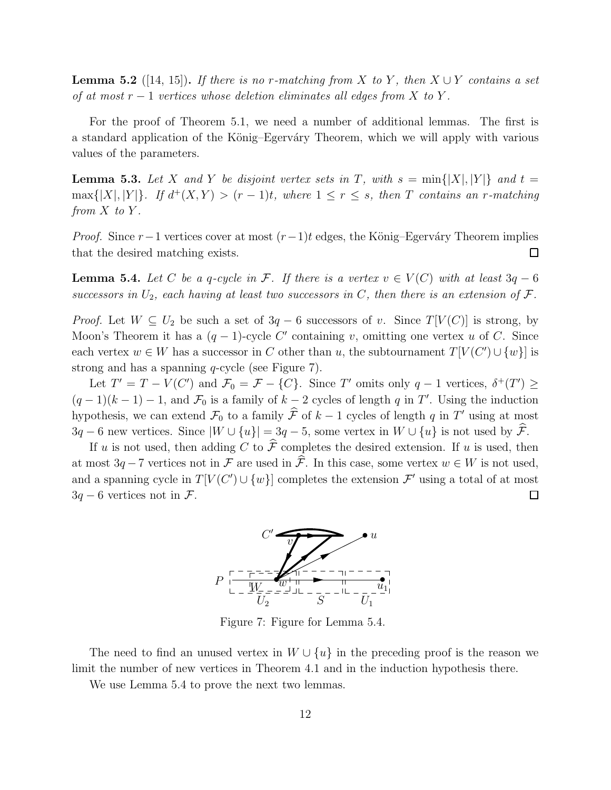**Lemma 5.2** ([14, 15]). *If there is no r-matching from* X *to* Y, *then*  $X \cup Y$  *contains a set of at most* r − 1 *vertices whose deletion eliminates all edges from* X *to* Y *.*

For the proof of Theorem 5.1, we need a number of additional lemmas. The first is a standard application of the König–Egerváry Theorem, which we will apply with various values of the parameters.

**Lemma 5.3.** Let X and Y be disjoint vertex sets in T, with  $s = \min\{|X|, |Y|\}$  and  $t =$  $\max\{|X|, |Y|\}.$  If  $d^+(X, Y) > (r - 1)t$ , where  $1 \leq r \leq s$ , then T contains an r-matching *from*  $X$  *to*  $Y$ *.* 

*Proof.* Since  $r-1$  vertices cover at most  $(r-1)t$  edges, the König–Egerváry Theorem implies that the desired matching exists.  $\Box$ 

**Lemma 5.4.** *Let* C *be a q-cycle in* F. If there is a vertex  $v \in V(C)$  with at least  $3q - 6$ *successors in*  $U_2$ *, each having at least two successors in*  $C$ *, then there is an extension of*  $\mathcal{F}$ *.* 

*Proof.* Let  $W \subseteq U_2$  be such a set of  $3q - 6$  successors of v. Since  $T[V(C)]$  is strong, by Moon's Theorem it has a  $(q-1)$ -cycle C' containing v, omitting one vertex u of C. Since each vertex  $w \in W$  has a successor in C other than u, the subtournament  $T[V(C') \cup \{w\}]$  is strong and has a spanning q-cycle (see Figure 7).

Let  $T' = T - V(C')$  and  $\mathcal{F}_0 = \mathcal{F} - \{C\}$ . Since T' omits only  $q - 1$  vertices,  $\delta^+(T') \geq$  $(q-1)(k-1) - 1$ , and  $\mathcal{F}_0$  is a family of  $k-2$  cycles of length q in T'. Using the induction hypothesis, we can extend  $\mathcal{F}_0$  to a family  $\hat{\mathcal{F}}$  of  $k - 1$  cycles of length q in T' using at most  $3q - 6$  new vertices. Since  $|W \cup \{u\}| = 3q - 5$ , some vertex in  $W \cup \{u\}$  is not used by  $\hat{\mathcal{F}}$ .

If u is not used, then adding C to  $\hat{\mathcal{F}}$  completes the desired extension. If u is used, then at most  $3q - 7$  vertices not in F are used in  $\hat{\mathcal{F}}$ . In this case, some vertex  $w \in W$  is not used, and a spanning cycle in  $T[V(C') \cup \{w\}]$  completes the extension  $\mathcal{F}'$  using a total of at most  $3q - 6$  vertices not in  $\mathcal{F}$ .  $\Box$ 



Figure 7: Figure for Lemma 5.4.

The need to find an unused vertex in  $W \cup \{u\}$  in the preceding proof is the reason we limit the number of new vertices in Theorem 4.1 and in the induction hypothesis there.

We use Lemma 5.4 to prove the next two lemmas.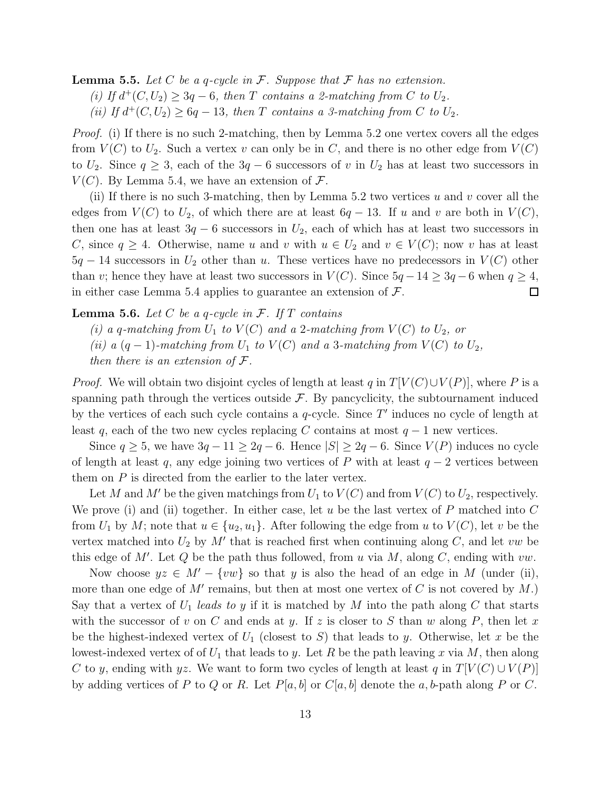Lemma 5.5. *Let* C *be a* q*-cycle in* F*. Suppose that* F *has no extension.*  $(i)$  *If*  $d$ <sup>+</sup> $(C, U_2)$  ≥ 3q − 6*, then T contains a 2-matching from C to*  $U_2$ *.* (*ii*) If  $d^+(C, U_2) \geq 6q - 13$ , then T contains a 3-matching from C to  $U_2$ .

*Proof.* (i) If there is no such 2-matching, then by Lemma 5.2 one vertex covers all the edges from  $V(C)$  to  $U_2$ . Such a vertex v can only be in C, and there is no other edge from  $V(C)$ to  $U_2$ . Since  $q \geq 3$ , each of the  $3q - 6$  successors of v in  $U_2$  has at least two successors in  $V(C)$ . By Lemma 5.4, we have an extension of  $\mathcal{F}$ .

(ii) If there is no such 3-matching, then by Lemma 5.2 two vertices  $u$  and  $v$  cover all the edges from  $V(C)$  to  $U_2$ , of which there are at least  $6q - 13$ . If u and v are both in  $V(C)$ , then one has at least  $3q - 6$  successors in  $U_2$ , each of which has at least two successors in C, since  $q \geq 4$ . Otherwise, name u and v with  $u \in U_2$  and  $v \in V(C)$ ; now v has at least  $5q - 14$  successors in  $U_2$  other than u. These vertices have no predecessors in  $V(C)$  other than v; hence they have at least two successors in  $V(C)$ . Since  $5q - 14 \geq 3q - 6$  when  $q \geq 4$ , in either case Lemma 5.4 applies to guarantee an extension of  $\mathcal{F}$ .  $\Box$ 

#### Lemma 5.6. *Let* C *be a* q*-cycle in* F*. If* T *contains*

 $(i)$  a q-matching from  $U_1$  to  $V(C)$  and a 2-matching from  $V(C)$  to  $U_2$ , or

*(ii)*  $a (q - 1)$ -matching from  $U_1$  to  $V(C)$  and a 3-matching from  $V(C)$  to  $U_2$ ,

*then there is an extension of* F*.*

*Proof.* We will obtain two disjoint cycles of length at least q in  $T[V(C) \cup V(P)]$ , where P is a spanning path through the vertices outside  $\mathcal{F}$ . By pancyclicity, the subtournament induced by the vertices of each such cycle contains a  $q$ -cycle. Since  $T'$  induces no cycle of length at least q, each of the two new cycles replacing C contains at most  $q - 1$  new vertices.

Since  $q \ge 5$ , we have  $3q - 11 \ge 2q - 6$ . Hence  $|S| \ge 2q - 6$ . Since  $V(P)$  induces no cycle of length at least q, any edge joining two vertices of P with at least  $q - 2$  vertices between them on P is directed from the earlier to the later vertex.

Let M and M' be the given matchings from  $U_1$  to  $V(C)$  and from  $V(C)$  to  $U_2$ , respectively. We prove (i) and (ii) together. In either case, let u be the last vertex of  $P$  matched into  $C$ from  $U_1$  by M; note that  $u \in \{u_2, u_1\}$ . After following the edge from u to  $V(C)$ , let v be the vertex matched into  $U_2$  by M' that is reached first when continuing along C, and let vw be this edge of M'. Let  $Q$  be the path thus followed, from u via M, along C, ending with  $vw$ .

Now choose  $yz \in M' - \{vw\}$  so that y is also the head of an edge in M (under (ii), more than one edge of  $M'$  remains, but then at most one vertex of  $C$  is not covered by  $M$ .) Say that a vertex of  $U_1$  *leads to*  $y$  if it is matched by  $M$  into the path along  $C$  that starts with the successor of v on C and ends at y. If z is closer to S than w along P, then let x be the highest-indexed vertex of  $U_1$  (closest to S) that leads to y. Otherwise, let x be the lowest-indexed vertex of of  $U_1$  that leads to y. Let R be the path leaving x via M, then along C to y, ending with yz. We want to form two cycles of length at least q in  $T[V(C) \cup V(P)]$ by adding vertices of P to Q or R. Let  $P[a, b]$  or  $C[a, b]$  denote the a, b-path along P or C.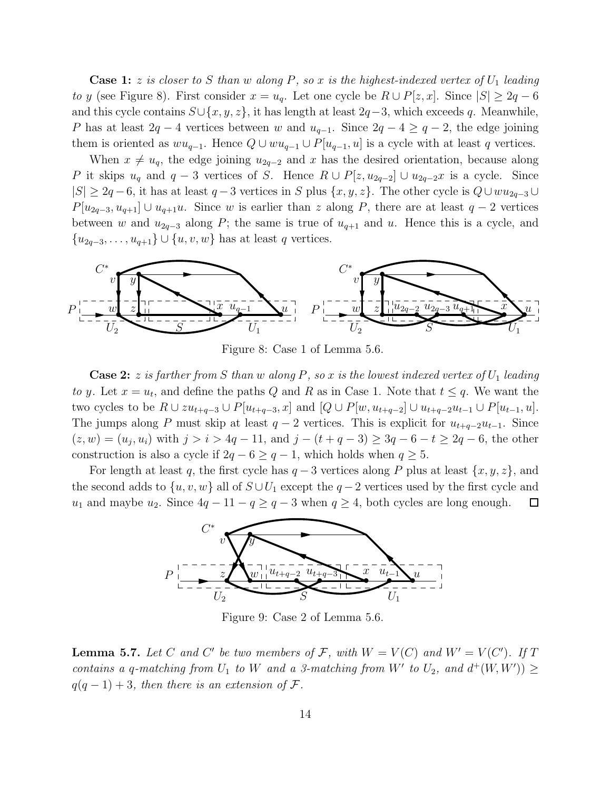**Case 1:** z *is closer to* S than w along P, so x *is the highest-indexed vertex of*  $U_1$  *leading to* y (see Figure 8). First consider  $x = u_q$ . Let one cycle be  $R \cup P[z, x]$ . Since  $|S| \geq 2q - 6$ and this cycle contains  $S\cup \{x, y, z\}$ , it has length at least  $2q-3$ , which exceeds q. Meanwhile, P has at least  $2q - 4$  vertices between w and  $u_{q-1}$ . Since  $2q - 4 \geq q - 2$ , the edge joining them is oriented as  $wu_{q-1}$ . Hence  $Q \cup wu_{q-1} \cup P[u_{q-1}, u]$  is a cycle with at least q vertices.

When  $x \neq u_q$ , the edge joining  $u_{2q-2}$  and x has the desired orientation, because along P it skips  $u_q$  and  $q-3$  vertices of S. Hence  $R \cup P[z, u_{2q-2}] \cup u_{2q-2}x$  is a cycle. Since  $|S| \geq 2q-6$ , it has at least  $q-3$  vertices in S plus  $\{x, y, z\}$ . The other cycle is  $Q \cup wu_{2q-3} \cup w$  $P[u_{2q-3}, u_{q+1}] \cup u_{q+1}u$ . Since w is earlier than z along P, there are at least  $q-2$  vertices between w and  $u_{2q-3}$  along P; the same is true of  $u_{q+1}$  and u. Hence this is a cycle, and  ${u_{2q-3}, \ldots, u_{q+1}} \cup {u, v, w}$  has at least q vertices.



Figure 8: Case 1 of Lemma 5.6.

**Case 2:** z *is farther from* S *than* w *along* P, so x *is the lowest indexed vertex of*  $U_1$  *leading to* y. Let  $x = u_t$ , and define the paths Q and R as in Case 1. Note that  $t \leq q$ . We want the two cycles to be  $R \cup zu_{t+q-3} \cup P[u_{t+q-3}, x]$  and  $[Q \cup P[w, u_{t+q-2}] \cup u_{t+q-2}u_{t-1} \cup P[u_{t-1}, u]$ . The jumps along P must skip at least  $q-2$  vertices. This is explicit for  $u_{t+q-2}u_{t-1}$ . Since  $(z, w) = (u_j, u_i)$  with  $j > i > 4q - 11$ , and  $j - (t + q - 3) \geq 3q - 6 - t \geq 2q - 6$ , the other construction is also a cycle if  $2q - 6 \ge q - 1$ , which holds when  $q \ge 5$ .

For length at least q, the first cycle has  $q-3$  vertices along P plus at least  $\{x, y, z\}$ , and the second adds to  $\{u, v, w\}$  all of  $S \cup U_1$  except the  $q-2$  vertices used by the first cycle and  $u_1$  and maybe  $u_2$ . Since  $4q - 11 - q \ge q - 3$  when  $q \ge 4$ , both cycles are long enough.  $\Box$ 



Figure 9: Case 2 of Lemma 5.6.

**Lemma 5.7.** Let C and C' be two members of F, with  $W = V(C)$  and  $W' = V(C')$ . If T *contains a q-matching from*  $U_1$  *to* W *and a 3-matching from* W' *to*  $U_2$ *, and*  $d^+(W, W')$   $\geq$  $q(q-1)+3$ , then there is an extension of F.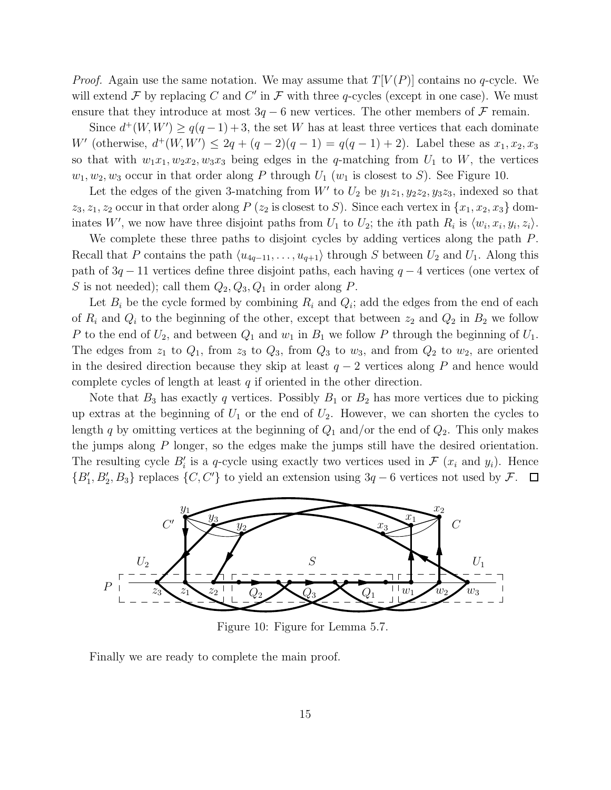*Proof.* Again use the same notation. We may assume that  $T[V(P)]$  contains no q-cycle. We will extend  $\mathcal F$  by replacing C and C' in  $\mathcal F$  with three q-cycles (except in one case). We must ensure that they introduce at most  $3q - 6$  new vertices. The other members of F remain.

Since  $d^+(W, W') \ge q(q-1) + 3$ , the set W has at least three vertices that each dominate W' (otherwise,  $d^+(W, W') \leq 2q + (q-2)(q-1) = q(q-1) + 2$ ). Label these as  $x_1, x_2, x_3$ so that with  $w_1x_1, w_2x_2, w_3x_3$  being edges in the q-matching from  $U_1$  to W, the vertices  $w_1, w_2, w_3$  occur in that order along P through  $U_1$  ( $w_1$  is closest to S). See Figure 10.

Let the edges of the given 3-matching from  $W'$  to  $U_2$  be  $y_1z_1, y_2z_2, y_3z_3$ , indexed so that  $z_3, z_1, z_2$  occur in that order along P ( $z_2$  is closest to S). Since each vertex in  $\{x_1, x_2, x_3\}$  dominates W', we now have three disjoint paths from  $U_1$  to  $U_2$ ; the *i*th path  $R_i$  is  $\langle w_i, x_i, y_i, z_i \rangle$ .

We complete these three paths to disjoint cycles by adding vertices along the path P. Recall that P contains the path  $\langle u_{4q-11}, \ldots, u_{q+1} \rangle$  through S between  $U_2$  and  $U_1$ . Along this path of  $3q - 11$  vertices define three disjoint paths, each having  $q - 4$  vertices (one vertex of S is not needed); call them  $Q_2, Q_3, Q_1$  in order along P.

Let  $B_i$  be the cycle formed by combining  $R_i$  and  $Q_i$ ; add the edges from the end of each of  $R_i$  and  $Q_i$  to the beginning of the other, except that between  $z_2$  and  $Q_2$  in  $B_2$  we follow P to the end of  $U_2$ , and between  $Q_1$  and  $w_1$  in  $B_1$  we follow P through the beginning of  $U_1$ . The edges from  $z_1$  to  $Q_1$ , from  $z_3$  to  $Q_3$ , from  $Q_3$  to  $w_3$ , and from  $Q_2$  to  $w_2$ , are oriented in the desired direction because they skip at least  $q-2$  vertices along P and hence would complete cycles of length at least  $q$  if oriented in the other direction.

Note that  $B_3$  has exactly q vertices. Possibly  $B_1$  or  $B_2$  has more vertices due to picking up extras at the beginning of  $U_1$  or the end of  $U_2$ . However, we can shorten the cycles to length q by omitting vertices at the beginning of  $Q_1$  and/or the end of  $Q_2$ . This only makes the jumps along P longer, so the edges make the jumps still have the desired orientation. The resulting cycle  $B'_i$  is a q-cycle using exactly two vertices used in  $\mathcal{F}(x_i)$  and  $y_i$ ). Hence  $\{B'_1, B'_2, B_3\}$  replaces  $\{C, C'\}$  to yield an extension using 3q – 6 vertices not used by F.



Figure 10: Figure for Lemma 5.7.

Finally we are ready to complete the main proof.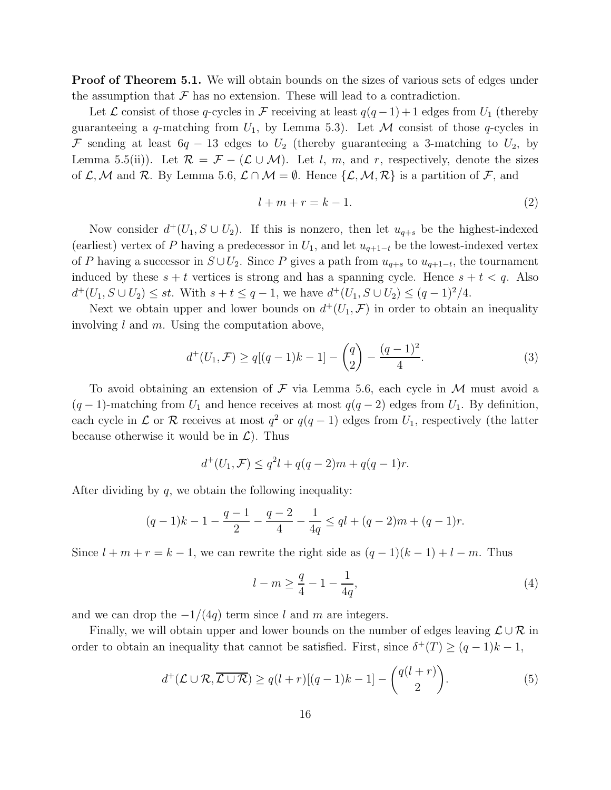**Proof of Theorem 5.1.** We will obtain bounds on the sizes of various sets of edges under the assumption that  $\mathcal F$  has no extension. These will lead to a contradiction.

Let  $\mathcal L$  consist of those q-cycles in  $\mathcal F$  receiving at least  $q(q-1)+1$  edges from  $U_1$  (thereby guaranteeing a q-matching from  $U_1$ , by Lemma 5.3). Let M consist of those q-cycles in F sending at least  $6q - 13$  edges to  $U_2$  (thereby guaranteeing a 3-matching to  $U_2$ , by Lemma 5.5(ii)). Let  $\mathcal{R} = \mathcal{F} - (\mathcal{L} \cup \mathcal{M})$ . Let l, m, and r, respectively, denote the sizes of  $\mathcal{L},\mathcal{M}$  and  $\mathcal{R}$ . By Lemma 5.6,  $\mathcal{L} \cap \mathcal{M} = \emptyset$ . Hence  $\{\mathcal{L},\mathcal{M},\mathcal{R}\}\)$  is a partition of  $\mathcal{F}$ , and

$$
l + m + r = k - 1.\t\t(2)
$$

Now consider  $d^+(U_1, S \cup U_2)$ . If this is nonzero, then let  $u_{q+s}$  be the highest-indexed (earliest) vertex of P having a predecessor in  $U_1$ , and let  $u_{q+1-t}$  be the lowest-indexed vertex of P having a successor in  $S \cup U_2$ . Since P gives a path from  $u_{q+s}$  to  $u_{q+1-t}$ , the tournament induced by these  $s + t$  vertices is strong and has a spanning cycle. Hence  $s + t < q$ . Also  $d^+(U_1, S \cup U_2) \leq st$ . With  $s + t \leq q - 1$ , we have  $d^+(U_1, S \cup U_2) \leq (q - 1)^2/4$ .

Next we obtain upper and lower bounds on  $d^+(U_1, \mathcal{F})$  in order to obtain an inequality involving  $l$  and  $m$ . Using the computation above,

$$
d^+(U_1, \mathcal{F}) \ge q[(q-1)k-1] - \binom{q}{2} - \frac{(q-1)^2}{4}.
$$
 (3)

To avoid obtaining an extension of  $\mathcal F$  via Lemma 5.6, each cycle in  $\mathcal M$  must avoid a  $(q-1)$ -matching from  $U_1$  and hence receives at most  $q(q-2)$  edges from  $U_1$ . By definition, each cycle in  $\mathcal L$  or  $\mathcal R$  receives at most  $q^2$  or  $q(q-1)$  edges from  $U_1$ , respectively (the latter because otherwise it would be in  $\mathcal{L}$ ). Thus

$$
d^+(U_1, \mathcal{F}) \le q^2 l + q(q-2)m + q(q-1)r.
$$

After dividing by  $q$ , we obtain the following inequality:

$$
(q-1)k - 1 - \frac{q-1}{2} - \frac{q-2}{4} - \frac{1}{4q} \le ql + (q-2)m + (q-1)r.
$$

Since  $l + m + r = k - 1$ , we can rewrite the right side as  $(q - 1)(k - 1) + l - m$ . Thus

$$
l - m \ge \frac{q}{4} - 1 - \frac{1}{4q},\tag{4}
$$

and we can drop the  $-1/(4q)$  term since l and m are integers.

Finally, we will obtain upper and lower bounds on the number of edges leaving  $\mathcal{L} \cup \mathcal{R}$  in order to obtain an inequality that cannot be satisfied. First, since  $\delta^+(T) \geq (q-1)k-1$ ,

$$
d^+(\mathcal{L}\cup\mathcal{R},\overline{\mathcal{L}\cup\mathcal{R}}) \ge q(l+r)[(q-1)k-1] - {q(l+r) \choose 2}.
$$
 (5)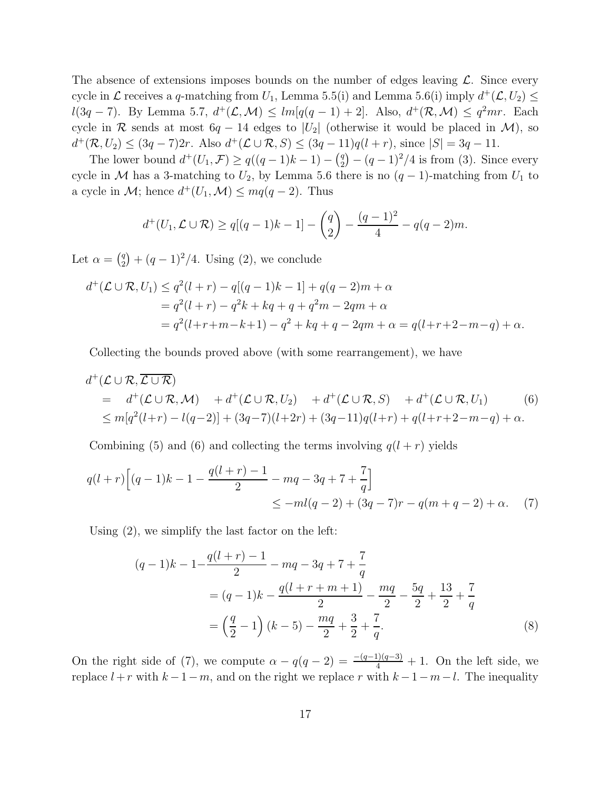The absence of extensions imposes bounds on the number of edges leaving  $\mathcal{L}$ . Since every cycle in  $\mathcal L$  receives a q-matching from  $U_1$ , Lemma 5.5(i) and Lemma 5.6(i) imply  $d^+(\mathcal L,U_2) \leq$  $l(3q-7)$ . By Lemma 5.7,  $d^+(\mathcal{L}, \mathcal{M}) \leq lm[q(q-1)+2]$ . Also,  $d^+(\mathcal{R}, \mathcal{M}) \leq q^2mr$ . Each cycle in R sends at most  $6q - 14$  edges to  $|U_2|$  (otherwise it would be placed in M), so  $d^+(\mathcal{R}, U_2) \le (3q - 7)2r$ . Also  $d^+(\mathcal{L} \cup \mathcal{R}, S) \le (3q - 11)q(l + r)$ , since  $|S| = 3q - 11$ .

The lower bound  $d^+(U_1, \mathcal{F}) \ge q((q-1)k-1) - {q \choose 2}$  $_{2}^{q}$  $-(q-1)^{2}/4$  is from (3). Since every cycle in M has a 3-matching to  $U_2$ , by Lemma 5.6 there is no  $(q-1)$ -matching from  $U_1$  to a cycle in  $\mathcal{M}$ ; hence  $d^+(U_1, \mathcal{M}) \leq mq(q-2)$ . Thus

$$
d^+(U_1, \mathcal{L} \cup \mathcal{R}) \ge q[(q-1)k-1] - \binom{q}{2} - \frac{(q-1)^2}{4} - q(q-2)m.
$$

Let  $\alpha = \begin{pmatrix} q \\ q \end{pmatrix}$  $_{2}^{q}$  $\left( q - 1 \right)^{2}$  $/4$ . Using (2), we conclude

$$
d^+(\mathcal{L} \cup \mathcal{R}, U_1) \le q^2(l+r) - q[(q-1)k - 1] + q(q-2)m + \alpha
$$
  
=  $q^2(l+r) - q^2k + kq + q + q^2m - 2qm + \alpha$   
=  $q^2(l+r+m-k+1) - q^2 + kq + q - 2qm + \alpha = q(l+r+2-m-q) + \alpha.$ 

Collecting the bounds proved above (with some rearrangement), we have

$$
d^+(\mathcal{L} \cup \mathcal{R}, \overline{\mathcal{L} \cup \mathcal{R}})
$$
  
=  $d^+(\mathcal{L} \cup \mathcal{R}, \mathcal{M}) + d^+(\mathcal{L} \cup \mathcal{R}, U_2) + d^+(\mathcal{L} \cup \mathcal{R}, S) + d^+(\mathcal{L} \cup \mathcal{R}, U_1)$  (6)  
 $\leq m[q^2(l+r) - l(q-2)] + (3q-7)(l+2r) + (3q-11)q(l+r) + q(l+r+2-m-q) + \alpha.$ 

Combining (5) and (6) and collecting the terms involving  $q(l + r)$  yields

$$
q(l+r)\left[(q-1)k-1-\frac{q(l+r)-1}{2}-mq-3q+7+\frac{7}{q}\right]
$$
  
 
$$
\leq -ml(q-2)+(3q-7)r-q(m+q-2)+\alpha.
$$
 (7)

Using (2), we simplify the last factor on the left:

$$
(q-1)k - 1 - \frac{q(l+r) - 1}{2} - mq - 3q + 7 + \frac{7}{q}
$$
  
=  $(q-1)k - \frac{q(l+r+m+1)}{2} - \frac{mq}{2} - \frac{5q}{2} + \frac{13}{2} + \frac{7}{q}$   
=  $\left(\frac{q}{2} - 1\right)(k-5) - \frac{mq}{2} + \frac{3}{2} + \frac{7}{q}.$  (8)

On the right side of (7), we compute  $\alpha - q(q-2) = \frac{-(q-1)(q-3)}{4} + 1$ . On the left side, we replace  $l + r$  with  $k - 1 - m$ , and on the right we replace r with  $k - 1 - m - l$ . The inequality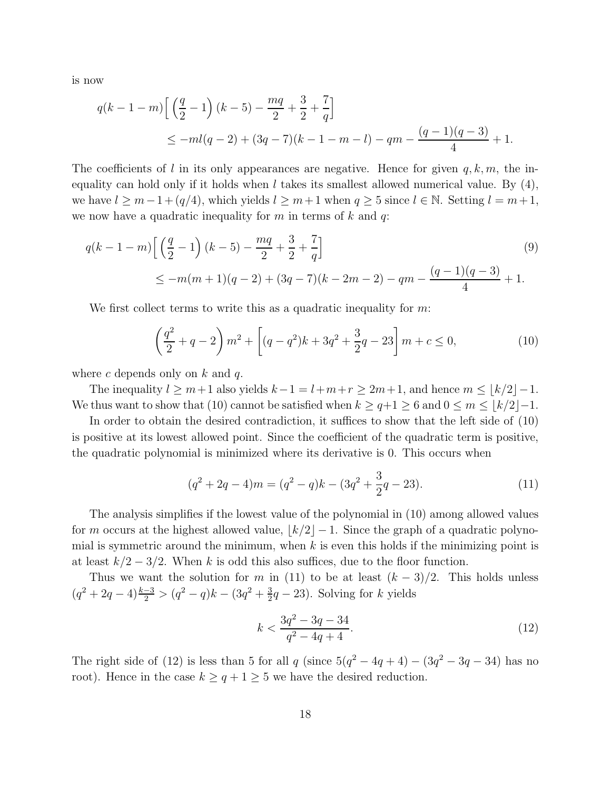is now

$$
q(k-1-m)\left[\left(\frac{q}{2}-1\right)(k-5)-\frac{mq}{2}+\frac{3}{2}+\frac{7}{q}\right]
$$
  
 
$$
\leq -ml(q-2)+(3q-7)(k-1-m-l)-qm-\frac{(q-1)(q-3)}{4}+1.
$$

The coefficients of l in its only appearances are negative. Hence for given  $q, k, m$ , the inequality can hold only if it holds when l takes its smallest allowed numerical value. By  $(4)$ , we have  $l \geq m-1+(q/4)$ , which yields  $l \geq m+1$  when  $q \geq 5$  since  $l \in \mathbb{N}$ . Setting  $l = m+1$ , we now have a quadratic inequality for  $m$  in terms of  $k$  and  $q$ :

$$
q(k-1-m)\left[\left(\frac{q}{2}-1\right)(k-5)-\frac{mq}{2}+\frac{3}{2}+\frac{7}{q}\right]
$$
\n
$$
\leq -m(m+1)(q-2)+(3q-7)(k-2m-2)-qm-\frac{(q-1)(q-3)}{4}+1.
$$
\n(9)

We first collect terms to write this as a quadratic inequality for  $m$ .

$$
\left(\frac{q^2}{2} + q - 2\right)m^2 + \left[ (q - q^2)k + 3q^2 + \frac{3}{2}q - 23 \right]m + c \le 0,
$$
\n(10)

where c depends only on  $k$  and  $q$ .

The inequality  $l \geq m+1$  also yields  $k-1 = l+m+r \geq 2m+1$ , and hence  $m \leq \lfloor k/2 \rfloor -1$ . We thus want to show that (10) cannot be satisfied when  $k \geq q+1 \geq 6$  and  $0 \leq m \leq |k/2|-1$ .

In order to obtain the desired contradiction, it suffices to show that the left side of (10) is positive at its lowest allowed point. Since the coefficient of the quadratic term is positive, the quadratic polynomial is minimized where its derivative is 0. This occurs when

$$
(q2 + 2q - 4)m = (q2 - q)k - (3q2 + \frac{3}{2}q - 23).
$$
 (11)

The analysis simplifies if the lowest value of the polynomial in (10) among allowed values for m occurs at the highest allowed value,  $\lfloor k/2 \rfloor - 1$ . Since the graph of a quadratic polynomial is symmetric around the minimum, when  $k$  is even this holds if the minimizing point is at least  $k/2 - 3/2$ . When k is odd this also suffices, due to the floor function.

Thus we want the solution for m in (11) to be at least  $(k-3)/2$ . This holds unless  $(q^2+2q-4)\frac{k-3}{2} > (q^2-q)k - (3q^2+\frac{3}{2})$  $\frac{3}{2}q-23$ ). Solving for k yields

$$
k < \frac{3q^2 - 3q - 34}{q^2 - 4q + 4}.\tag{12}
$$

The right side of (12) is less than 5 for all q (since  $5(q^2 - 4q + 4) - (3q^2 - 3q - 34)$  has no root). Hence in the case  $k \ge q+1 \ge 5$  we have the desired reduction.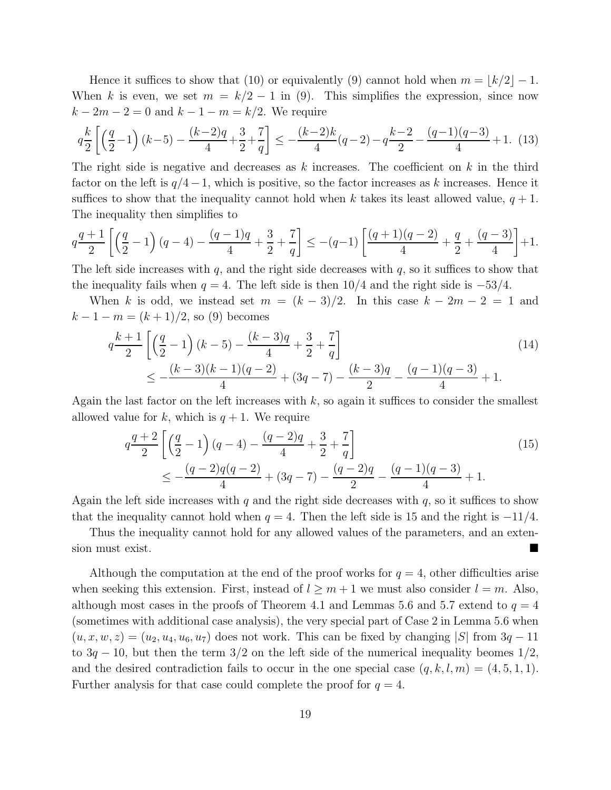Hence it suffices to show that (10) or equivalently (9) cannot hold when  $m = |k/2| - 1$ . When k is even, we set  $m = k/2 - 1$  in (9). This simplifies the expression, since now  $k - 2m - 2 = 0$  and  $k - 1 - m = k/2$ . We require

$$
q\frac{k}{2}\left[\left(\frac{q}{2}-1\right)(k-5)-\frac{(k-2)q}{4}+\frac{3}{2}+\frac{7}{q}\right] \le -\frac{(k-2)k}{4}(q-2)-q\frac{k-2}{2}-\frac{(q-1)(q-3)}{4}+1.
$$
 (13)

The right side is negative and decreases as  $k$  increases. The coefficient on  $k$  in the third factor on the left is  $q/4-1$ , which is positive, so the factor increases as k increases. Hence it suffices to show that the inequality cannot hold when k takes its least allowed value,  $q + 1$ . The inequality then simplifies to

$$
q\frac{q+1}{2}\left[\left(\frac{q}{2}-1\right)(q-4)-\frac{(q-1)q}{4}+\frac{3}{2}+\frac{7}{q}\right] \leq -(q-1)\left[\frac{(q+1)(q-2)}{4}+\frac{q}{2}+\frac{(q-3)}{4}\right]+1.
$$

The left side increases with  $q$ , and the right side decreases with  $q$ , so it suffices to show that the inequality fails when  $q = 4$ . The left side is then 10/4 and the right side is  $-53/4$ .

When k is odd, we instead set  $m = (k-3)/2$ . In this case  $k-2m-2=1$  and  $k-1-m=(k+1)/2$ , so (9) becomes

$$
q^{\frac{k+1}{2}} \left[ \left( \frac{q}{2} - 1 \right) (k-5) - \frac{(k-3)q}{4} + \frac{3}{2} + \frac{7}{q} \right]
$$
  
 
$$
\le - \frac{(k-3)(k-1)(q-2)}{4} + (3q-7) - \frac{(k-3)q}{2} - \frac{(q-1)(q-3)}{4} + 1.
$$
 (14)

Again the last factor on the left increases with  $k$ , so again it suffices to consider the smallest allowed value for k, which is  $q + 1$ . We require

$$
q\frac{q+2}{2}\left[\left(\frac{q}{2}-1\right)(q-4)-\frac{(q-2)q}{4}+\frac{3}{2}+\frac{7}{q}\right]
$$
  
 
$$
\leq -\frac{(q-2)q(q-2)}{4}+(3q-7)-\frac{(q-2)q}{2}-\frac{(q-1)(q-3)}{4}+1.
$$
 (15)

Again the left side increases with q and the right side decreases with  $q$ , so it suffices to show that the inequality cannot hold when  $q = 4$ . Then the left side is 15 and the right is  $-11/4$ .

Thus the inequality cannot hold for any allowed values of the parameters, and an extension must exist.

Although the computation at the end of the proof works for  $q = 4$ , other difficulties arise when seeking this extension. First, instead of  $l \geq m+1$  we must also consider  $l = m$ . Also, although most cases in the proofs of Theorem 4.1 and Lemmas 5.6 and 5.7 extend to  $q = 4$ (sometimes with additional case analysis), the very special part of Case 2 in Lemma 5.6 when  $(u, x, w, z) = (u_2, u_4, u_6, u_7)$  does not work. This can be fixed by changing |S| from  $3q - 11$ to  $3q - 10$ , but then the term  $3/2$  on the left side of the numerical inequality beomes  $1/2$ , and the desired contradiction fails to occur in the one special case  $(q, k, l, m) = (4, 5, 1, 1)$ . Further analysis for that case could complete the proof for  $q = 4$ .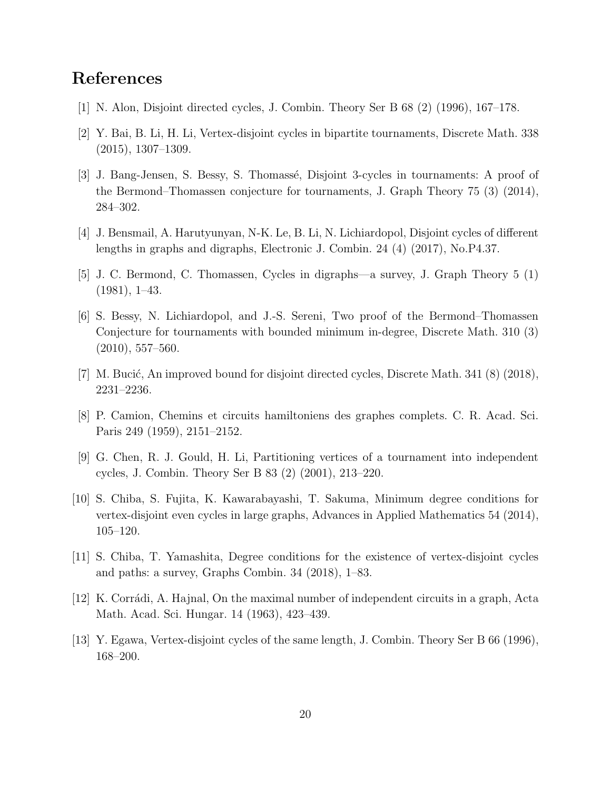# References

- [1] N. Alon, Disjoint directed cycles, J. Combin. Theory Ser B 68 (2) (1996), 167–178.
- [2] Y. Bai, B. Li, H. Li, Vertex-disjoint cycles in bipartite tournaments, Discrete Math. 338 (2015), 1307–1309.
- [3] J. Bang-Jensen, S. Bessy, S. Thomassé, Disjoint 3-cycles in tournaments: A proof of the Bermond–Thomassen conjecture for tournaments, J. Graph Theory 75 (3) (2014), 284–302.
- [4] J. Bensmail, A. Harutyunyan, N-K. Le, B. Li, N. Lichiardopol, Disjoint cycles of different lengths in graphs and digraphs, Electronic J. Combin. 24 (4) (2017), No.P4.37.
- [5] J. C. Bermond, C. Thomassen, Cycles in digraphs—a survey, J. Graph Theory 5 (1) (1981), 1–43.
- [6] S. Bessy, N. Lichiardopol, and J.-S. Sereni, Two proof of the Bermond–Thomassen Conjecture for tournaments with bounded minimum in-degree, Discrete Math. 310 (3) (2010), 557–560.
- [7] M. Bucić, An improved bound for disjoint directed cycles, Discrete Math.  $341(8)(2018)$ , 2231–2236.
- [8] P. Camion, Chemins et circuits hamiltoniens des graphes complets. C. R. Acad. Sci. Paris 249 (1959), 2151–2152.
- [9] G. Chen, R. J. Gould, H. Li, Partitioning vertices of a tournament into independent cycles, J. Combin. Theory Ser B 83 (2) (2001), 213–220.
- [10] S. Chiba, S. Fujita, K. Kawarabayashi, T. Sakuma, Minimum degree conditions for vertex-disjoint even cycles in large graphs, Advances in Applied Mathematics 54 (2014), 105–120.
- [11] S. Chiba, T. Yamashita, Degree conditions for the existence of vertex-disjoint cycles and paths: a survey, Graphs Combin. 34 (2018), 1–83.
- [12] K. Corrádi, A. Hajnal, On the maximal number of independent circuits in a graph, Acta Math. Acad. Sci. Hungar. 14 (1963), 423–439.
- [13] Y. Egawa, Vertex-disjoint cycles of the same length, J. Combin. Theory Ser B 66 (1996), 168–200.